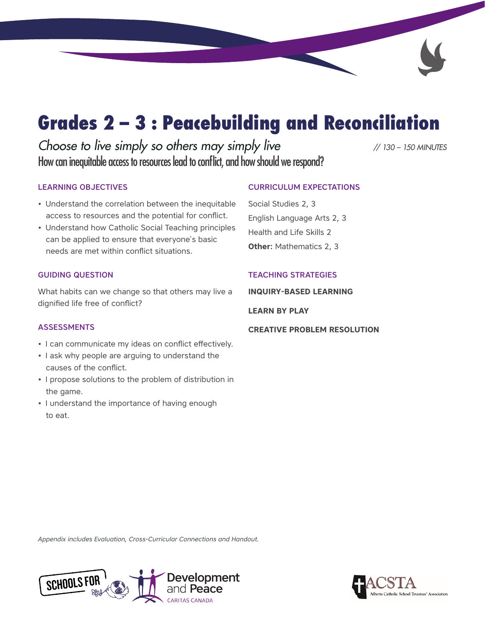# Grades 2 – 3 : Peacebuilding and Reconciliation

*Choose to live simply so others may simply live // 130 – 150 MINUTES* How can inequitable access to resources lead to conflict, and how should we respond?

#### LEARNING OBJECTIVES

- Understand the correlation between the inequitable access to resources and the potential for conflict.
- Understand how Catholic Social Teaching principles can be applied to ensure that everyone`s basic needs are met within conflict situations.

#### GUIDING QUESTION

What habits can we change so that others may live a dignified life free of conflict?

#### ASSESSMENTS

- I can communicate my ideas on conflict effectively.
- I ask why people are arguing to understand the causes of the conflict.
- I propose solutions to the problem of distribution in the game.
- I understand the importance of having enough to eat.

### CURRICULUM EXPECTATIONS

Social Studies 2, 3 English Language Arts 2, 3 Health and Life Skills 2 **Other:** Mathematics 2, 3

#### TEACHING STRATEGIES

**INQUIRY-BASED LEARNING**

**LEARN BY PLAY**

**CREATIVE PROBLEM RESOLUTION** 

*Appendix includes Evaluation, Cross-Curricular Connections and Handout.*



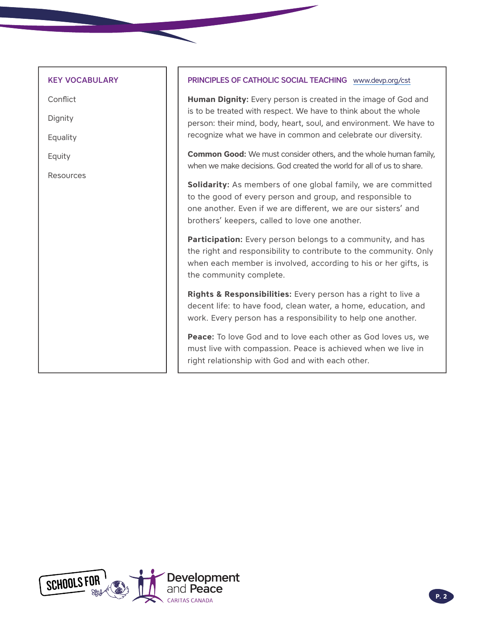#### KEY VOCABULARY

**Conflict** 

Dignity

Equality

Equity

Resources

#### PRINCIPLES OF CATHOLIC SOCIAL TEACHING [www.devp.org/cst](http://www.devp.org/cst)

**Human Dignity:** Every person is created in the image of God and is to be treated with respect. We have to think about the whole person: their mind, body, heart, soul, and environment. We have to recognize what we have in common and celebrate our diversity.

**Common Good:** We must consider others, and the whole human family, when we make decisions. God created the world for all of us to share.

**Solidarity:** As members of one global family, we are committed to the good of every person and group, and responsible to one another. Even if we are different, we are our sisters' and brothers' keepers, called to love one another.

**Participation:** Every person belongs to a community, and has the right and responsibility to contribute to the community. Only when each member is involved, according to his or her gifts, is the community complete.

**Rights & Responsibilities:** Every person has a right to live a decent life: to have food, clean water, a home, education, and work. Every person has a responsibility to help one another.

**Peace:** To love God and to love each other as God loves us, we must live with compassion. Peace is achieved when we live in right relationship with God and with each other.

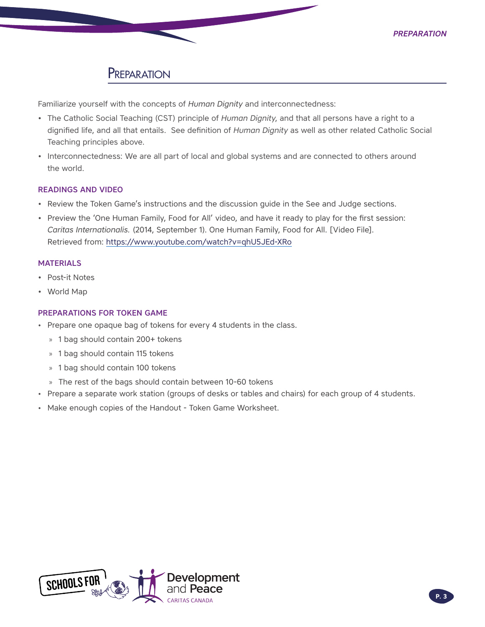# **PREPARATION**

Familiarize yourself with the concepts of *Human Dignity* and interconnectedness:

- The Catholic Social Teaching (CST) principle of *Human Dignity*, and that all persons have a right to a dignified life, and all that entails. See definition of *Human Dignity* as well as other related Catholic Social Teaching principles above.
- Interconnectedness: We are all part of local and global systems and are connected to others around the world.

#### READINGS AND VIDEO

- Review the Token Game's instructions and the discussion guide in the See and Judge sections.
- Preview the 'One Human Family, Food for All' video, and have it ready to play for the first session: *Caritas Internationalis.* (2014, September 1). One Human Family, Food for All. [Video File]. Retrieved from: https://www.youtube.com/watch?v=qhU5JEd-XRo

#### **MATERIALS**

- Post-it Notes
- World Map

#### PREPARATIONS FOR TOKEN GAME

- Prepare one opaque bag of tokens for every 4 students in the class.
	- » 1 bag should contain 200+ tokens
	- » 1 bag should contain 115 tokens
	- » 1 bag should contain 100 tokens
	- » The rest of the bags should contain between 10-60 tokens
- Prepare a separate work station (groups of desks or tables and chairs) for each group of 4 students.
- Make enough copies of the Handout Token Game Worksheet.

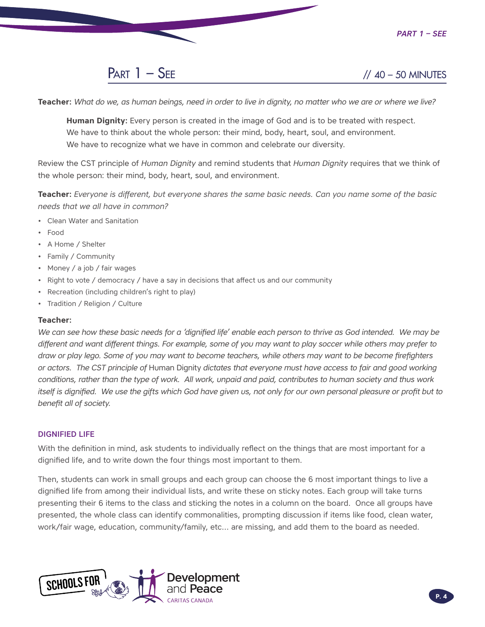

**Teacher:** *What do we, as human beings, need in order to live in dignity, no matter who we are or where we live?* 

**Human Dignity:** Every person is created in the image of God and is to be treated with respect. We have to think about the whole person: their mind, body, heart, soul, and environment. We have to recognize what we have in common and celebrate our diversity.

Review the CST principle of *Human Dignity* and remind students that *Human Dignity* requires that we think of the whole person: their mind, body, heart, soul, and environment.

**Teacher:** *Everyone is different, but everyone shares the same basic needs. Can you name some of the basic needs that we all have in common?*

- Clean Water and Sanitation
- Food
- A Home / Shelter
- Family / Community
- Money / a job / fair wages
- Right to vote / democracy / have a say in decisions that affect us and our community
- Recreation (including children's right to play)
- Tradition / Religion / Culture

#### **Teacher:**

We can see how these basic needs for a 'dignified life' enable each person to thrive as God intended. We may be *different and want different things. For example, some of you may want to play soccer while others may prefer to draw or play lego. Some of you may want to become teachers, while others may want to be become firefighters or actors. The CST principle of* Human Dignity *dictates that everyone must have access to fair and good working conditions, rather than the type of work. All work, unpaid and paid, contributes to human society and thus work itself is dignified. We use the gifts which God have given us, not only for our own personal pleasure or profit but to benefit all of society.*

#### DIGNIFIED LIFE

With the definition in mind, ask students to individually reflect on the things that are most important for a dignified life, and to write down the four things most important to them.

Then, students can work in small groups and each group can choose the 6 most important things to live a dignified life from among their individual lists, and write these on sticky notes. Each group will take turns presenting their 6 items to the class and sticking the notes in a column on the board. Once all groups have presented, the whole class can identify commonalities, prompting discussion if items like food, clean water, work/fair wage, education, community/family, etc… are missing, and add them to the board as needed.

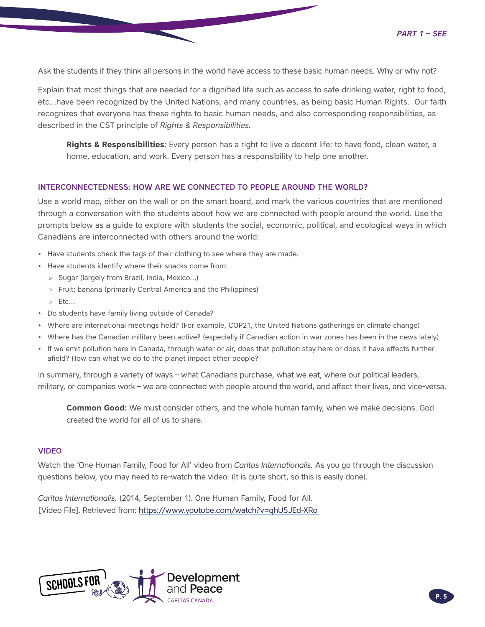Ask the students if they think all persons in the world have access to these basic human needs. Why or why not?

Explain that most things that are needed for a dignified life such as access to safe drinking water, right to food, etc…have been recognized by the United Nations, and many countries, as being basic Human Rights. Our faith recognizes that everyone has these rights to basic human needs, and also corresponding responsibilities, as described in the CST principle of *Rights & Responsibilities.*

**Rights & Responsibilities:** Every person has a right to live a decent life: to have food, clean water, a home, education, and work. Every person has a responsibility to help one another.

#### INTERCONNECTEDNESS: HOW ARE WE CONNECTED TO PEOPLE AROUND THE WORLD?

Use a world map, either on the wall or on the smart board, and mark the various countries that are mentioned through a conversation with the students about how we are connected with people around the world. Use the prompts below as a guide to explore with students the social, economic, political, and ecological ways in which Canadians are interconnected with others around the world:

- Have students check the tags of their clothing to see where they are made.
- Have students identify where their snacks come from:
	- » Sugar (largely from Brazil, India, Mexico…)
	- » Fruit: banana (primarily Central America and the Philippines)
	- » Etc…
- Do students have family living outside of Canada?
- Where are international meetings held? (For example, COP21, the United Nations gatherings on climate change)
- Where has the Canadian military been active? (especially if Canadian action in war zones has been in the news lately)
- If we emit pollution here in Canada, through water or air, does that pollution stay here or does it have effects further afield? How can what we do to the planet impact other people?

In summary, through a variety of ways – what Canadians purchase, what we eat, where our political leaders, military, or companies work – we are connected with people around the world, and affect their lives, and vice-versa.

**Common Good:** We must consider others, and the whole human family, when we make decisions. God created the world for all of us to share.

#### VIDEO

Watch the 'One Human Family, Food for All' video from *Caritas Internationalis.* As you go through the discussion questions below, you may need to re-watch the video. (It is quite short, so this is easily done).

*Caritas Internationalis.* (2014, September 1). One Human Family, Food for All. [Video File]. Retrieved from: https://www.youtube.com/watch?v=qhU5JEd-XRo

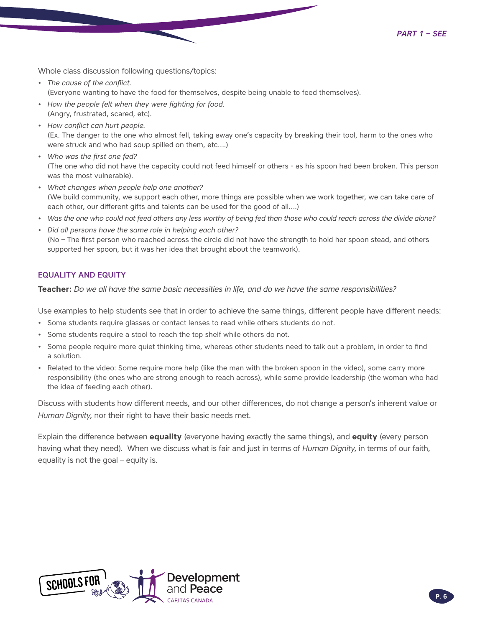*Part 1 – See*

Whole class discussion following questions/topics:

- *• The cause of the conflict.*  (Everyone wanting to have the food for themselves, despite being unable to feed themselves).
- *• How the people felt when they were fighting for food.* (Angry, frustrated, scared, etc).
- *• How conflict can hurt people.* (Ex. The danger to the one who almost fell, taking away one's capacity by breaking their tool, harm to the ones who were struck and who had soup spilled on them, etc….)
- *Who was the first one fed?* (The one who did not have the capacity could not feed himself or others - as his spoon had been broken. This person was the most vulnerable).
- *• What changes when people help one another?* (We build community, we support each other, more things are possible when we work together, we can take care of each other, our different gifts and talents can be used for the good of all….)
- *• Was the one who could not feed others any less worthy of being fed than those who could reach across the divide alone?*
- *• Did all persons have the same role in helping each other?*  (No – The first person who reached across the circle did not have the strength to hold her spoon stead, and others supported her spoon, but it was her idea that brought about the teamwork).

#### EQUALITY AND EQUITY

**Teacher:** *Do we all have the same basic necessities in life, and do we have the same responsibilities?* 

Use examples to help students see that in order to achieve the same things, different people have different needs:

- Some students require glasses or contact lenses to read while others students do not.
- Some students require a stool to reach the top shelf while others do not.
- Some people require more quiet thinking time, whereas other students need to talk out a problem, in order to find a solution.
- Related to the video: Some require more help (like the man with the broken spoon in the video), some carry more responsibility (the ones who are strong enough to reach across), while some provide leadership (the woman who had the idea of feeding each other).

Discuss with students how different needs, and our other differences, do not change a person's inherent value or *Human Dignity*, nor their right to have their basic needs met.

Explain the difference between **equality** (everyone having exactly the same things), and **equity** (every person having what they need). When we discuss what is fair and just in terms of *Human Dignity*, in terms of our faith, equality is not the goal – equity is.

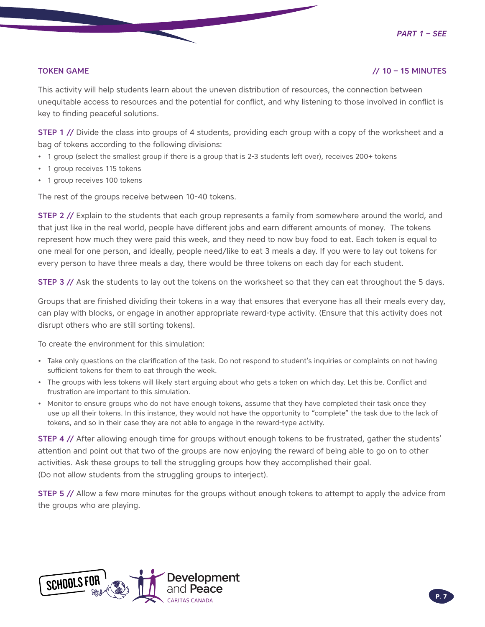#### TOKEN GAME // 10 – 15 MINUTES

This activity will help students learn about the uneven distribution of resources, the connection between unequitable access to resources and the potential for conflict, and why listening to those involved in conflict is key to finding peaceful solutions.

STEP 1 // Divide the class into groups of 4 students, providing each group with a copy of the worksheet and a bag of tokens according to the following divisions:

- 1 group (select the smallest group if there is a group that is 2-3 students left over), receives 200+ tokens
- 1 group receives 115 tokens
- 1 group receives 100 tokens

The rest of the groups receive between 10-40 tokens.

STEP 2 // Explain to the students that each group represents a family from somewhere around the world, and that just like in the real world, people have different jobs and earn different amounts of money. The tokens represent how much they were paid this week, and they need to now buy food to eat. Each token is equal to one meal for one person, and ideally, people need/like to eat 3 meals a day. If you were to lay out tokens for every person to have three meals a day, there would be three tokens on each day for each student.

STEP 3 // Ask the students to lay out the tokens on the worksheet so that they can eat throughout the 5 days.

Groups that are finished dividing their tokens in a way that ensures that everyone has all their meals every day, can play with blocks, or engage in another appropriate reward-type activity. (Ensure that this activity does not disrupt others who are still sorting tokens).

To create the environment for this simulation:

- Take only questions on the clarification of the task. Do not respond to student's inquiries or complaints on not having sufficient tokens for them to eat through the week.
- The groups with less tokens will likely start arguing about who gets a token on which day. Let this be. Conflict and frustration are important to this simulation.
- Monitor to ensure groups who do not have enough tokens, assume that they have completed their task once they use up all their tokens. In this instance, they would not have the opportunity to "complete" the task due to the lack of tokens, and so in their case they are not able to engage in the reward-type activity.

STEP 4 // After allowing enough time for groups without enough tokens to be frustrated, gather the students' attention and point out that two of the groups are now enjoying the reward of being able to go on to other activities. Ask these groups to tell the struggling groups how they accomplished their goal. (Do not allow students from the struggling groups to interject).

STEP 5 // Allow a few more minutes for the groups without enough tokens to attempt to apply the advice from the groups who are playing.

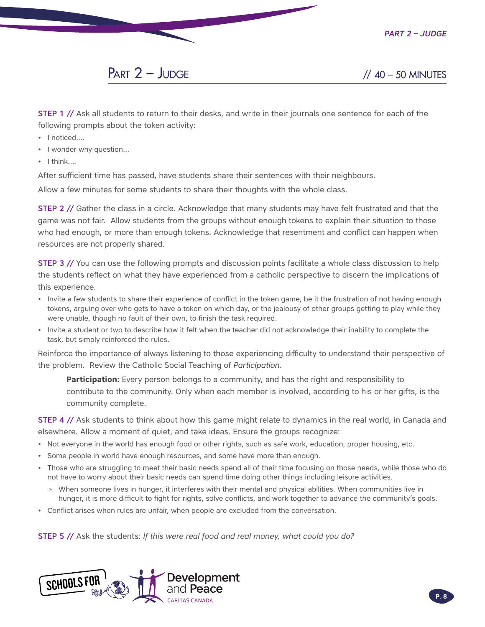

# $PART 2 - JUDGE$  // 40 – 50 MINUTES

STEP 1 // Ask all students to return to their desks, and write in their journals one sentence for each of the following prompts about the token activity:

- I noticed....
- I wonder why question…
- I think….

After sufficient time has passed, have students share their sentences with their neighbours.

Allow a few minutes for some students to share their thoughts with the whole class.

STEP 2 // Gather the class in a circle. Acknowledge that many students may have felt frustrated and that the game was not fair. Allow students from the groups without enough tokens to explain their situation to those who had enough, or more than enough tokens. Acknowledge that resentment and conflict can happen when resources are not properly shared.

**STEP 3** // You can use the following prompts and discussion points facilitate a whole class discussion to help the students reflect on what they have experienced from a catholic perspective to discern the implications of this experience.

- Invite a few students to share their experience of conflict in the token game, be it the frustration of not having enough tokens, arguing over who gets to have a token on which day, or the jealousy of other groups getting to play while they were unable, though no fault of their own, to finish the task required.
- Invite a student or two to describe how it felt when the teacher did not acknowledge their inability to complete the task, but simply reinforced the rules.

Reinforce the importance of always listening to those experiencing difficulty to understand their perspective of the problem. Review the Catholic Social Teaching of *Participation*.

**Participation:** Every person belongs to a community, and has the right and responsibility to contribute to the community. Only when each member is involved, according to his or her gifts, is the community complete.

**STEP 4 //** Ask students to think about how this game might relate to dynamics in the real world, in Canada and elsewhere. Allow a moment of quiet, and take ideas. Ensure the groups recognize:

- Not everyone in the world has enough food or other rights, such as safe work, education, proper housing, etc.
- Some people in world have enough resources, and some have more than enough.
- Those who are struggling to meet their basic needs spend all of their time focusing on those needs, while those who do not have to worry about their basic needs can spend time doing other things including leisure activities.
	- » When someone lives in hunger, it interferes with their mental and physical abilities. When communities live in hunger, it is more difficult to fight for rights, solve conflicts, and work together to advance the community's goals.
- Conflict arises when rules are unfair, when people are excluded from the conversation.

STEP 5 // Ask the students: *If this were real food and real money, what could you do?* 

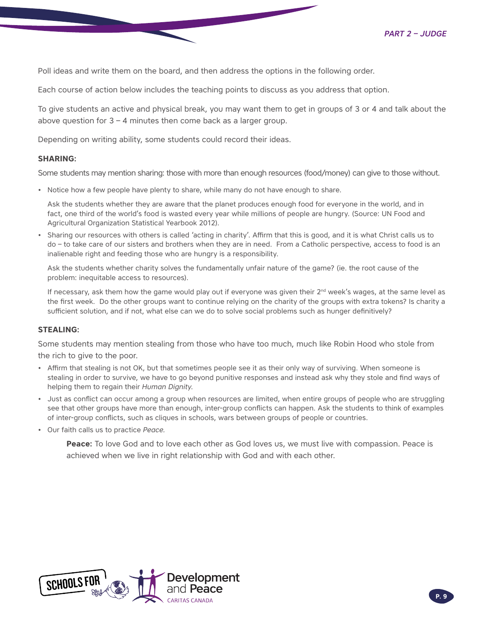Poll ideas and write them on the board, and then address the options in the following order.

Each course of action below includes the teaching points to discuss as you address that option.

To give students an active and physical break, you may want them to get in groups of 3 or 4 and talk about the above question for  $3 - 4$  minutes then come back as a larger group.

Depending on writing ability, some students could record their ideas.

#### **SHARING:**

Some students may mention sharing: those with more than enough resources (food/money) can give to those without.

• Notice how a few people have plenty to share, while many do not have enough to share.

Ask the students whether they are aware that the planet produces enough food for everyone in the world, and in fact, one third of the world's food is wasted every year while millions of people are hungry. (Source: UN Food and Agricultural Organization Statistical Yearbook 2012).

• Sharing our resources with others is called 'acting in charity'. Affirm that this is good, and it is what Christ calls us to do – to take care of our sisters and brothers when they are in need. From a Catholic perspective, access to food is an inalienable right and feeding those who are hungry is a responsibility.

Ask the students whether charity solves the fundamentally unfair nature of the game? (ie. the root cause of the problem: inequitable access to resources).

If necessary, ask them how the game would play out if everyone was given their 2<sup>nd</sup> week's wages, at the same level as the first week. Do the other groups want to continue relying on the charity of the groups with extra tokens? Is charity a sufficient solution, and if not, what else can we do to solve social problems such as hunger definitively?

#### **STEALING:**

Some students may mention stealing from those who have too much, much like Robin Hood who stole from the rich to give to the poor.

- Affirm that stealing is not OK, but that sometimes people see it as their only way of surviving. When someone is stealing in order to survive, we have to go beyond punitive responses and instead ask why they stole and find ways of helping them to regain their *Human Dignity*.
- Just as conflict can occur among a group when resources are limited, when entire groups of people who are struggling see that other groups have more than enough, inter-group conflicts can happen. Ask the students to think of examples of inter-group conflicts, such as cliques in schools, wars between groups of people or countries.
- Our faith calls us to practice *Peace.*

**Peace:** To love God and to love each other as God loves us, we must live with compassion. Peace is achieved when we live in right relationship with God and with each other.

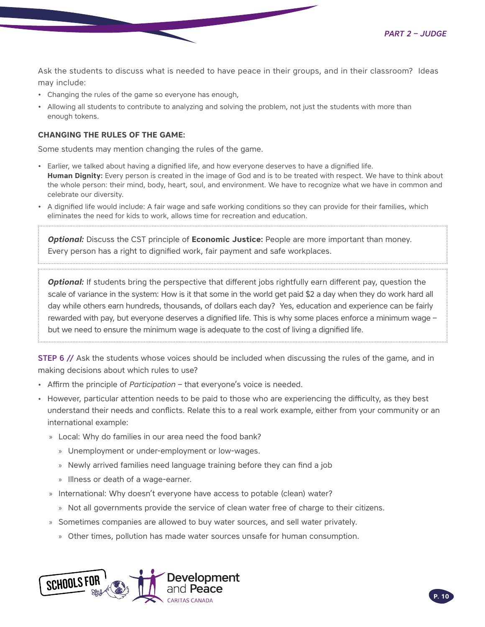*Part 2 – Judge*

Ask the students to discuss what is needed to have peace in their groups, and in their classroom? Ideas may include:

- Changing the rules of the game so everyone has enough,
- Allowing all students to contribute to analyzing and solving the problem, not just the students with more than enough tokens.

#### **CHANGING THE RULES OF THE GAME:**

Some students may mention changing the rules of the game.

- Earlier, we talked about having a dignified life, and how everyone deserves to have a dignified life. **Human Dignity:** Every person is created in the image of God and is to be treated with respect. We have to think about the whole person: their mind, body, heart, soul, and environment. We have to recognize what we have in common and celebrate our diversity.
- A dignified life would include: A fair wage and safe working conditions so they can provide for their families, which eliminates the need for kids to work, allows time for recreation and education.

*Optional:* Discuss the CST principle of **Economic Justice:** People are more important than money. Every person has a right to dignified work, fair payment and safe workplaces.

**Optional:** If students bring the perspective that different jobs rightfully earn different pay, question the scale of variance in the system: How is it that some in the world get paid \$2 a day when they do work hard all day while others earn hundreds, thousands, of dollars each day? Yes, education and experience can be fairly rewarded with pay, but everyone deserves a dignified life. This is why some places enforce a minimum wage – but we need to ensure the minimum wage is adequate to the cost of living a dignified life.

STEP 6 // Ask the students whose voices should be included when discussing the rules of the game, and in making decisions about which rules to use?

- Affirm the principle of *Participation* that everyone's voice is needed.
- However, particular attention needs to be paid to those who are experiencing the difficulty, as they best understand their needs and conflicts. Relate this to a real work example, either from your community or an international example:
	- » Local: Why do families in our area need the food bank?
		- » Unemployment or under-employment or low-wages.
		- » Newly arrived families need language training before they can find a job
		- » Illness or death of a wage-earner.
	- » International: Why doesn't everyone have access to potable (clean) water?
		- » Not all governments provide the service of clean water free of charge to their citizens.
	- » Sometimes companies are allowed to buy water sources, and sell water privately.
		- » Other times, pollution has made water sources unsafe for human consumption.

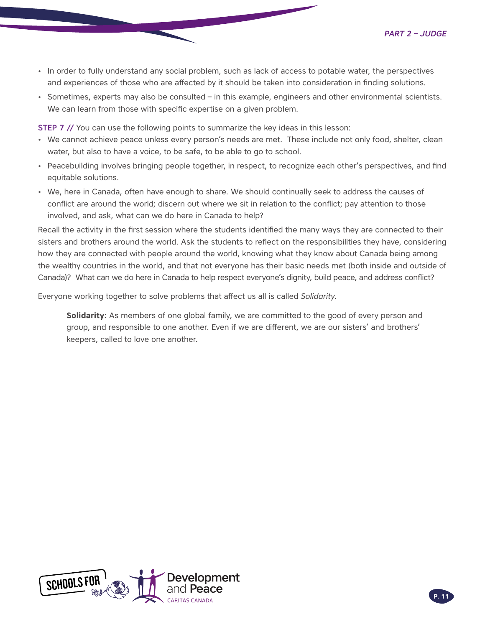- In order to fully understand any social problem, such as lack of access to potable water, the perspectives and experiences of those who are affected by it should be taken into consideration in finding solutions.
- Sometimes, experts may also be consulted in this example, engineers and other environmental scientists. We can learn from those with specific expertise on a given problem.

STEP 7 // You can use the following points to summarize the key ideas in this lesson:

- We cannot achieve peace unless every person's needs are met. These include not only food, shelter, clean water, but also to have a voice, to be safe, to be able to go to school.
- Peacebuilding involves bringing people together, in respect, to recognize each other's perspectives, and find equitable solutions.
- We, here in Canada, often have enough to share. We should continually seek to address the causes of conflict are around the world; discern out where we sit in relation to the conflict; pay attention to those involved, and ask, what can we do here in Canada to help?

Recall the activity in the first session where the students identified the many ways they are connected to their sisters and brothers around the world. Ask the students to reflect on the responsibilities they have, considering how they are connected with people around the world, knowing what they know about Canada being among the wealthy countries in the world, and that not everyone has their basic needs met (both inside and outside of Canada)? What can we do here in Canada to help respect everyone's dignity, build peace, and address conflict?

Everyone working together to solve problems that affect us all is called *Solidarity*.

**Solidarity:** As members of one global family, we are committed to the good of every person and group, and responsible to one another. Even if we are different, we are our sisters' and brothers' keepers, called to love one another.

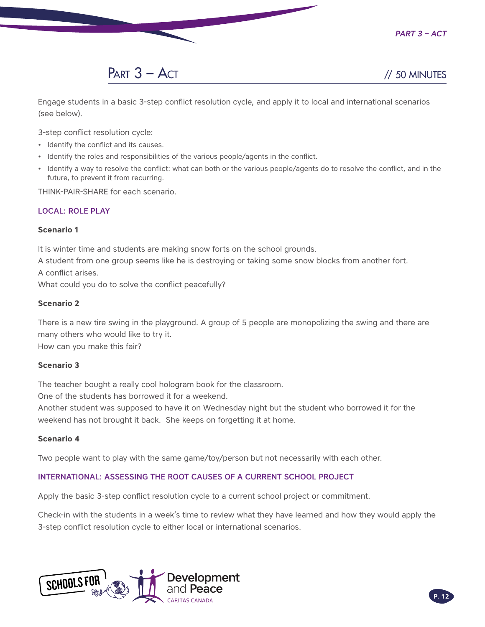*Part 3 – Act*



Engage students in a basic 3-step conflict resolution cycle, and apply it to local and international scenarios (see below).

3-step conflict resolution cycle:

- Identify the conflict and its causes.
- Identify the roles and responsibilities of the various people/agents in the conflict.
- Identify a way to resolve the conflict: what can both or the various people/agents do to resolve the conflict, and in the future, to prevent it from recurring.

THINK-PAIR-SHARE for each scenario.

#### LOCAL: ROLE PLAY

#### **Scenario 1**

It is winter time and students are making snow forts on the school grounds.

A student from one group seems like he is destroying or taking some snow blocks from another fort. A conflict arises.

What could you do to solve the conflict peacefully?

#### **Scenario 2**

There is a new tire swing in the playground. A group of 5 people are monopolizing the swing and there are many others who would like to try it.

How can you make this fair?

#### **Scenario 3**

The teacher bought a really cool hologram book for the classroom.

One of the students has borrowed it for a weekend.

Another student was supposed to have it on Wednesday night but the student who borrowed it for the weekend has not brought it back. She keeps on forgetting it at home.

#### **Scenario 4**

Two people want to play with the same game/toy/person but not necessarily with each other.

#### INTERNATIONAL: ASSESSING THE ROOT CAUSES OF A CURRENT SCHOOL PROJECT

Apply the basic 3-step conflict resolution cycle to a current school project or commitment.

Check-in with the students in a week's time to review what they have learned and how they would apply the 3-step conflict resolution cycle to either local or international scenarios.

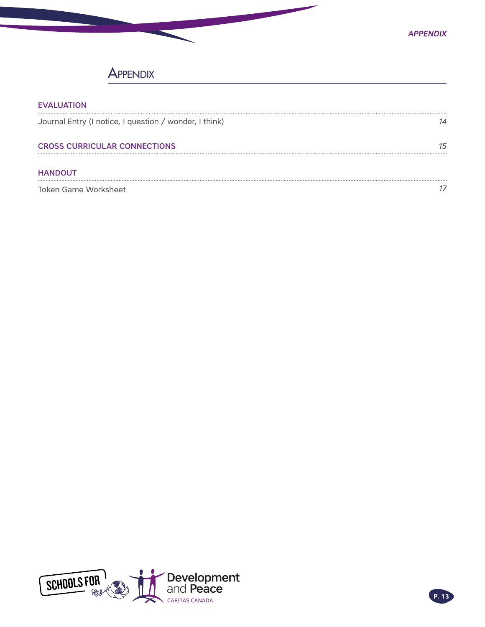

# **APPENDIX**

| <b>EVALUATION</b>                                      |  |
|--------------------------------------------------------|--|
| Journal Entry (I notice, I question / wonder, I think) |  |
| <b>CROSS CURRICULAR CONNECTIONS</b>                    |  |
| <b>HANDOUT</b>                                         |  |
| Token Game Worksheet                                   |  |

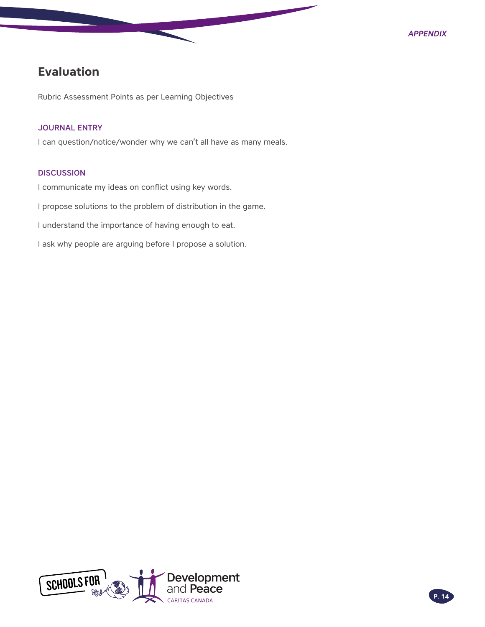# <span id="page-13-0"></span>**Evaluation**

Rubric Assessment Points as per Learning Objectives

#### JOURNAL ENTRY

I can question/notice/wonder why we can't all have as many meals.

#### **DISCUSSION**

I communicate my ideas on conflict using key words.

I propose solutions to the problem of distribution in the game.

I understand the importance of having enough to eat.

I ask why people are arguing before I propose a solution.

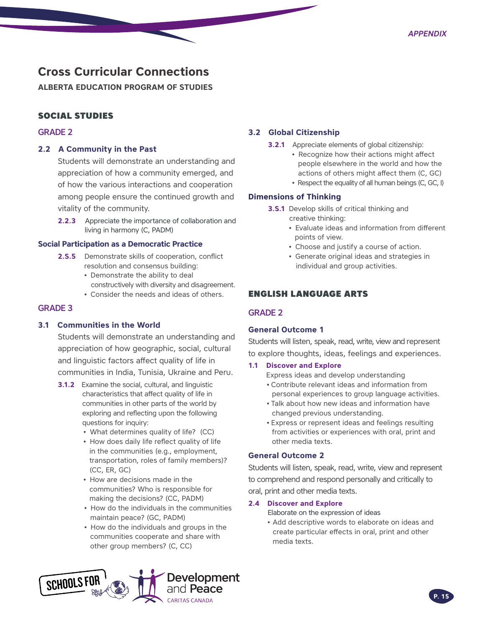# <span id="page-14-0"></span>**Cross Curricular Connections**

**ALBERTA EDUCATION PROGRAM OF STUDIES**

#### SOCIAL STUDIES

#### GRADE 2

#### **2.2 A Community in the Past**

Students will demonstrate an understanding and appreciation of how a community emerged, and of how the various interactions and cooperation among people ensure the continued growth and vitality of the community.

**2.2.3** Appreciate the importance of collaboration and living in harmony (C, PADM)

#### **Social Participation as a Democratic Practice**

- **2.S.5** Demonstrate skills of cooperation, conflict resolution and consensus building:
	- Demonstrate the ability to deal constructively with diversity and disagreement.
		- Consider the needs and ideas of others.

#### GRADE 3

#### **3.1 Communities in the World**

Students will demonstrate an understanding and appreciation of how geographic, social, cultural and linguistic factors affect quality of life in communities in India, Tunisia, Ukraine and Peru.

- **3.1.2** Examine the social, cultural, and linguistic characteristics that affect quality of life in communities in other parts of the world by exploring and reflecting upon the following questions for inquiry:
	- What determines quality of life? (CC)
	- How does daily life reflect quality of life in the communities (e.g., employment, transportation, roles of family members)? (CC, ER, GC)
	- How are decisions made in the communities? Who is responsible for making the decisions? (CC, PADM)
	- How do the individuals in the communities maintain peace? (GC, PADM)
	- How do the individuals and groups in the communities cooperate and share with other group members? (C, CC)



#### **3.2 Global Citizenship**

- **3.2.1** Appreciate elements of global citizenship:
	- Recognize how their actions might affect people elsewhere in the world and how the actions of others might affect them (C, GC)
	- Respect the equality of all human beings (C, GC, I)

#### **Dimensions of Thinking**

- **3.S.1** Develop skills of critical thinking and creative thinking:
	- Evaluate ideas and information from different points of view.
	- Choose and justify a course of action.
	- Generate original ideas and strategies in individual and group activities.

#### ENGLISH LANGUAGE ARTS

#### GRADE 2

#### **General Outcome 1**

Students will listen, speak, read, write, view and represent to explore thoughts, ideas, feelings and experiences.

#### **1.1 Discover and Explore**

- Express ideas and develop understanding
- Contribute relevant ideas and information from personal experiences to group language activities.
- Talk about how new ideas and information have changed previous understanding.
- Express or represent ideas and feelings resulting from activities or experiences with oral, print and other media texts.

#### **General Outcome 2**

Students will listen, speak, read, write, view and represent to comprehend and respond personally and critically to oral, print and other media texts.

#### **2.4 Discover and Explore**

Elaborate on the expression of ideas

• Add descriptive words to elaborate on ideas and create particular effects in oral, print and other media texts.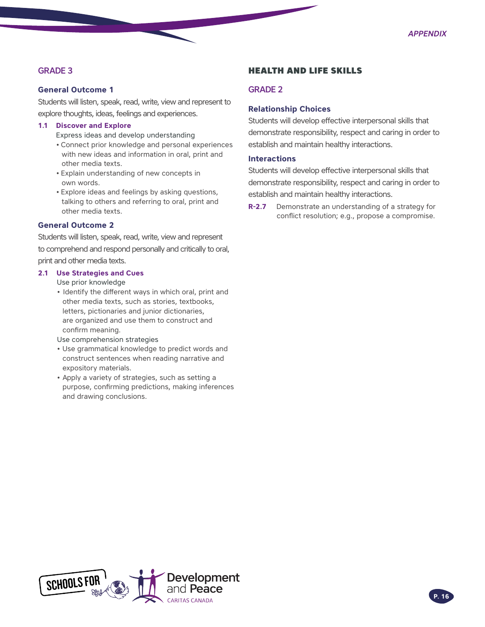### GRADE 3

#### **General Outcome 1**

Students will listen, speak, read, write, view and represent to explore thoughts, ideas, feelings and experiences.

#### **1.1 Discover and Explore**

Express ideas and develop understanding

- Connect prior knowledge and personal experiences with new ideas and information in oral, print and other media texts.
- Explain understanding of new concepts in own words.
- Explore ideas and feelings by asking questions, talking to others and referring to oral, print and other media texts.

#### **General Outcome 2**

Students will listen, speak, read, write, view and represent to comprehend and respond personally and critically to oral, print and other media texts.

#### **2.1 Use Strategies and Cues**

Use prior knowledge

- Identify the different ways in which oral, print and other media texts, such as stories, textbooks, letters, pictionaries and junior dictionaries, are organized and use them to construct and confirm meaning.
- Use comprehension strategies
- Use grammatical knowledge to predict words and construct sentences when reading narrative and expository materials.
- Apply a variety of strategies, such as setting a purpose, confirming predictions, making inferences and drawing conclusions.

#### HEALTH AND LIFE SKILLS

#### GRADE 2

#### **Relationship Choices**

Students will develop effective interpersonal skills that demonstrate responsibility, respect and caring in order to establish and maintain healthy interactions.

#### **Interactions**

Students will develop effective interpersonal skills that demonstrate responsibility, respect and caring in order to establish and maintain healthy interactions.

**R-2.7** Demonstrate an understanding of a strategy for conflict resolution; e.g., propose a compromise.